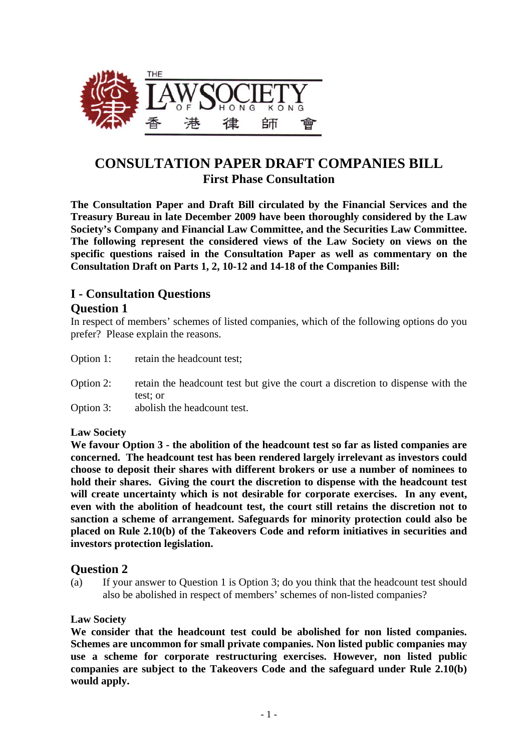

# **CONSULTATION PAPER DRAFT COMPANIES BILL First Phase Consultation**

**The Consultation Paper and Draft Bill circulated by the Financial Services and the Treasury Bureau in late December 2009 have been thoroughly considered by the Law Society's Company and Financial Law Committee, and the Securities Law Committee. The following represent the considered views of the Law Society on views on the specific questions raised in the Consultation Paper as well as commentary on the Consultation Draft on Parts 1, 2, 10-12 and 14-18 of the Companies Bill:** 

# **I - Consultation Questions Question 1**

In respect of members' schemes of listed companies, which of the following options do you prefer? Please explain the reasons.

| Option 1: | retain the headcount test;                                                                 |
|-----------|--------------------------------------------------------------------------------------------|
| Option 2: | retain the headcount test but give the court a discretion to dispense with the<br>test: or |
| Option 3: | abolish the headcount test.                                                                |

### **Law Society**

**We favour Option 3 - the abolition of the headcount test so far as listed companies are concerned. The headcount test has been rendered largely irrelevant as investors could choose to deposit their shares with different brokers or use a number of nominees to hold their shares. Giving the court the discretion to dispense with the headcount test will create uncertainty which is not desirable for corporate exercises. In any event, even with the abolition of headcount test, the court still retains the discretion not to sanction a scheme of arrangement. Safeguards for minority protection could also be placed on Rule 2.10(b) of the Takeovers Code and reform initiatives in securities and investors protection legislation.** 

# **Question 2**

(a) If your answer to Question 1 is Option 3; do you think that the headcount test should also be abolished in respect of members' schemes of non-listed companies?

### **Law Society**

**We consider that the headcount test could be abolished for non listed companies. Schemes are uncommon for small private companies. Non listed public companies may use a scheme for corporate restructuring exercises. However, non listed public companies are subject to the Takeovers Code and the safeguard under Rule 2.10(b) would apply.**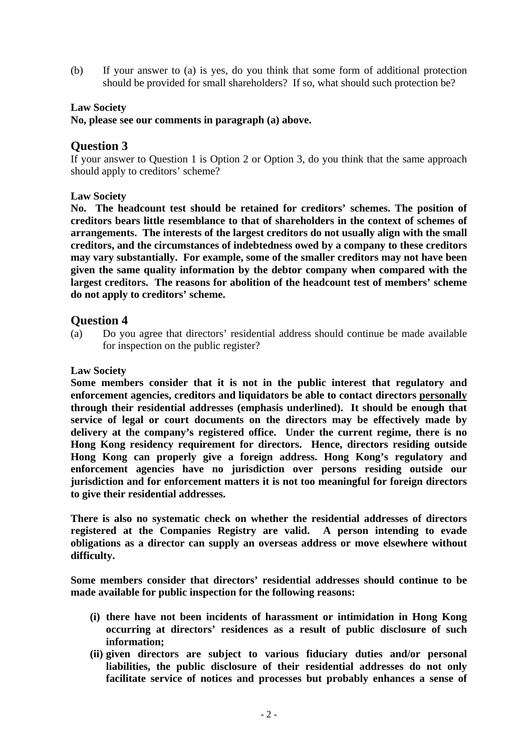(b) If your answer to (a) is yes, do you think that some form of additional protection should be provided for small shareholders? If so, what should such protection be?

### **Law Society**

**No, please see our comments in paragraph (a) above.** 

# **Question 3**

If your answer to Question 1 is Option 2 or Option 3, do you think that the same approach should apply to creditors' scheme?

### **Law Society**

**No. The headcount test should be retained for creditors' schemes. The position of creditors bears little resemblance to that of shareholders in the context of schemes of arrangements. The interests of the largest creditors do not usually align with the small creditors, and the circumstances of indebtedness owed by a company to these creditors may vary substantially. For example, some of the smaller creditors may not have been given the same quality information by the debtor company when compared with the largest creditors. The reasons for abolition of the headcount test of members' scheme do not apply to creditors' scheme.**

### **Question 4**

(a) Do you agree that directors' residential address should continue be made available for inspection on the public register?

### **Law Society**

**Some members consider that it is not in the public interest that regulatory and enforcement agencies, creditors and liquidators be able to contact directors personally through their residential addresses (emphasis underlined). It should be enough that service of legal or court documents on the directors may be effectively made by delivery at the company's registered office. Under the current regime, there is no Hong Kong residency requirement for directors. Hence, directors residing outside Hong Kong can properly give a foreign address. Hong Kong's regulatory and enforcement agencies have no jurisdiction over persons residing outside our jurisdiction and for enforcement matters it is not too meaningful for foreign directors to give their residential addresses.** 

**There is also no systematic check on whether the residential addresses of directors registered at the Companies Registry are valid. A person intending to evade obligations as a director can supply an overseas address or move elsewhere without difficulty.** 

**Some members consider that directors' residential addresses should continue to be made available for public inspection for the following reasons:** 

- **(i) there have not been incidents of harassment or intimidation in Hong Kong occurring at directors' residences as a result of public disclosure of such information;**
- **(ii) given directors are subject to various fiduciary duties and/or personal liabilities, the public disclosure of their residential addresses do not only facilitate service of notices and processes but probably enhances a sense of**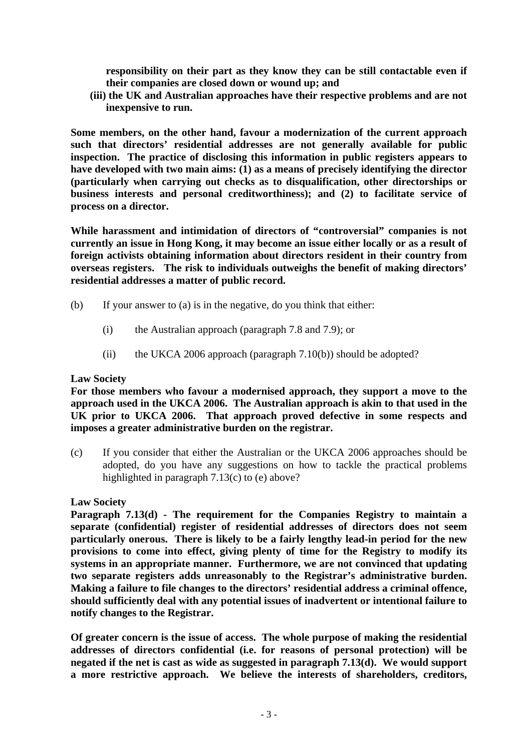**responsibility on their part as they know they can be still contactable even if their companies are closed down or wound up; and** 

**(iii) the UK and Australian approaches have their respective problems and are not inexpensive to run.** 

**Some members, on the other hand, favour a modernization of the current approach such that directors' residential addresses are not generally available for public inspection. The practice of disclosing this information in public registers appears to have developed with two main aims: (1) as a means of precisely identifying the director (particularly when carrying out checks as to disqualification, other directorships or business interests and personal creditworthiness); and (2) to facilitate service of process on a director.** 

**While harassment and intimidation of directors of "controversial" companies is not currently an issue in Hong Kong, it may become an issue either locally or as a result of foreign activists obtaining information about directors resident in their country from overseas registers. The risk to individuals outweighs the benefit of making directors' residential addresses a matter of public record.** 

- (b) If your answer to (a) is in the negative, do you think that either:
	- (i) the Australian approach (paragraph 7.8 and 7.9); or
	- (ii) the UKCA 2006 approach (paragraph  $7.10(b)$ ) should be adopted?

#### **Law Society**

**For those members who favour a modernised approach, they support a move to the approach used in the UKCA 2006. The Australian approach is akin to that used in the UK prior to UKCA 2006. That approach proved defective in some respects and imposes a greater administrative burden on the registrar.** 

(c) If you consider that either the Australian or the UKCA 2006 approaches should be adopted, do you have any suggestions on how to tackle the practical problems highlighted in paragraph 7.13(c) to (e) above?

#### **Law Society**

**Paragraph 7.13(d) - The requirement for the Companies Registry to maintain a separate (confidential) register of residential addresses of directors does not seem particularly onerous. There is likely to be a fairly lengthy lead-in period for the new provisions to come into effect, giving plenty of time for the Registry to modify its systems in an appropriate manner. Furthermore, we are not convinced that updating two separate registers adds unreasonably to the Registrar's administrative burden. Making a failure to file changes to the directors' residential address a criminal offence, should sufficiently deal with any potential issues of inadvertent or intentional failure to notify changes to the Registrar.** 

**Of greater concern is the issue of access. The whole purpose of making the residential addresses of directors confidential (i.e. for reasons of personal protection) will be negated if the net is cast as wide as suggested in paragraph 7.13(d). We would support a more restrictive approach. We believe the interests of shareholders, creditors,**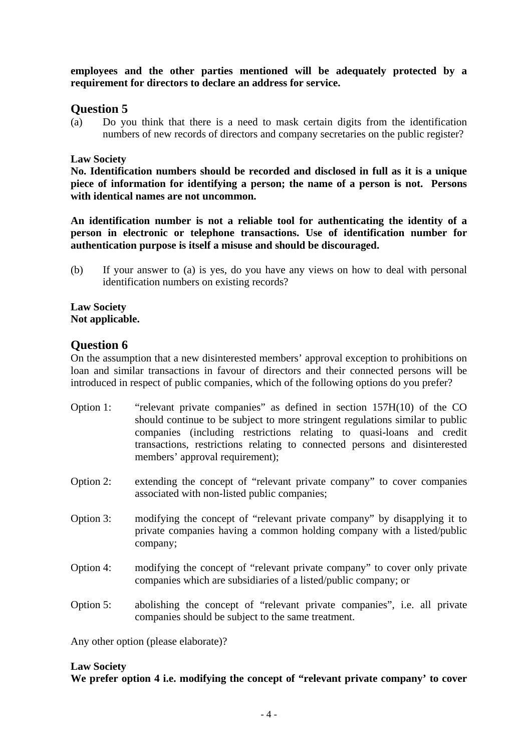**employees and the other parties mentioned will be adequately protected by a requirement for directors to declare an address for service.** 

### **Question 5**

(a) Do you think that there is a need to mask certain digits from the identification numbers of new records of directors and company secretaries on the public register?

#### **Law Society**

**No. Identification numbers should be recorded and disclosed in full as it is a unique piece of information for identifying a person; the name of a person is not. Persons with identical names are not uncommon.** 

**An identification number is not a reliable tool for authenticating the identity of a person in electronic or telephone transactions. Use of identification number for authentication purpose is itself a misuse and should be discouraged.** 

(b) If your answer to (a) is yes, do you have any views on how to deal with personal identification numbers on existing records?

#### **Law Society Not applicable.**

### **Question 6**

On the assumption that a new disinterested members' approval exception to prohibitions on loan and similar transactions in favour of directors and their connected persons will be introduced in respect of public companies, which of the following options do you prefer?

- Option 1: "relevant private companies" as defined in section 157H(10) of the CO should continue to be subject to more stringent regulations similar to public companies (including restrictions relating to quasi-loans and credit transactions, restrictions relating to connected persons and disinterested members' approval requirement);
- Option 2: extending the concept of "relevant private company" to cover companies associated with non-listed public companies;
- Option 3: modifying the concept of "relevant private company" by disapplying it to private companies having a common holding company with a listed/public company;
- Option 4: modifying the concept of "relevant private company" to cover only private companies which are subsidiaries of a listed/public company; or
- Option 5: abolishing the concept of "relevant private companies", i.e. all private companies should be subject to the same treatment.

Any other option (please elaborate)?

#### **Law Society**

**We prefer option 4 i.e. modifying the concept of "relevant private company' to cover**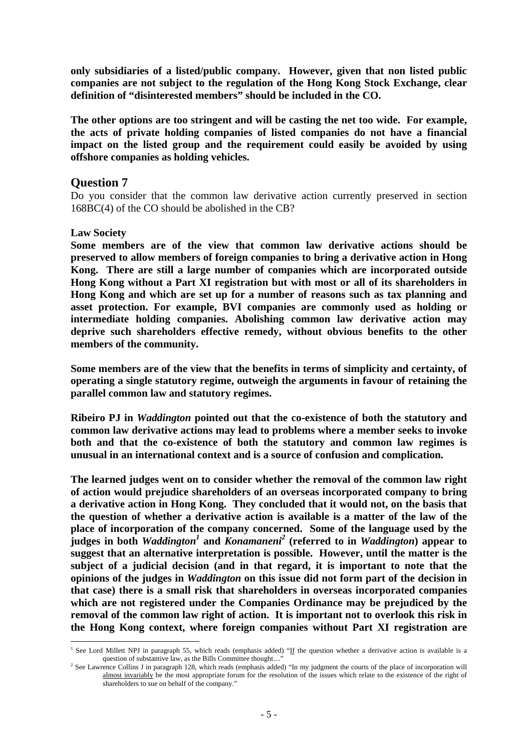**only subsidiaries of a listed/public company. However, given that non listed public companies are not subject to the regulation of the Hong Kong Stock Exchange, clear definition of "disinterested members" should be included in the CO.** 

**The other options are too stringent and will be casting the net too wide. For example, the acts of private holding companies of listed companies do not have a financial impact on the listed group and the requirement could easily be avoided by using offshore companies as holding vehicles.** 

### **Question 7**

Do you consider that the common law derivative action currently preserved in section 168BC(4) of the CO should be abolished in the CB?

### **Law Society**

 $\overline{a}$ 

**Some members are of the view that common law derivative actions should be preserved to allow members of foreign companies to bring a derivative action in Hong Kong. There are still a large number of companies which are incorporated outside Hong Kong without a Part XI registration but with most or all of its shareholders in Hong Kong and which are set up for a number of reasons such as tax planning and asset protection. For example, BVI companies are commonly used as holding or intermediate holding companies. Abolishing common law derivative action may deprive such shareholders effective remedy, without obvious benefits to the other members of the community.** 

**Some members are of the view that the benefits in terms of simplicity and certainty, of operating a single statutory regime, outweigh the arguments in favour of retaining the parallel common law and statutory regimes.** 

**Ribeiro PJ in** *Waddington* **pointed out that the co-existence of both the statutory and common law derivative actions may lead to problems where a member seeks to invoke both and that the co-existence of both the statutory and common law regimes is unusual in an international context and is a source of confusion and complication.** 

**The learned judges went on to consider whether the removal of the common law right of action would prejudice shareholders of an overseas incorporated company to bring a derivative action in Hong Kong. They concluded that it would not, on the basis that the question of whether a derivative action is available is a matter of the law of the place of incorporation of the company concerned. Some of the language used by the judges in both** *Waddington[1](#page-4-0)* **and** *Konamaneni<sup>2</sup>* **(referred to in** *Waddington***) appear to suggest that an alternative interpretation is possible. However, until the matter is the subject of a judicial decision (and in that regard, it is important to note that the opinions of the judges in** *Waddington* **on this issue did not form part of the decision in that case) there is a small risk that shareholders in overseas incorporated companies which are not registered under the Companies Ordinance may be prejudiced by the removal of the common law right of action. It is important not to overlook this risk in the Hong Kong context, where foreign companies without Part XI registration are** 

<span id="page-4-0"></span><sup>&</sup>lt;sup>1</sup> See Lord Millett NPJ in paragraph 55, which reads (emphasis added) " $\underline{If}$  the question whether a derivative action is available is a question of substantive law, as the Bills Committee thought...'

<span id="page-4-1"></span><sup>&</sup>lt;sup>2</sup> See Lawrence Collins J in paragraph 128, which reads (emphasis added) "In my judgment the courts of the place of incorporation will almost invariably be the most appropriate forum for the resolution of the issues which relate to the existence of the right of shareholders to sue on behalf of the company."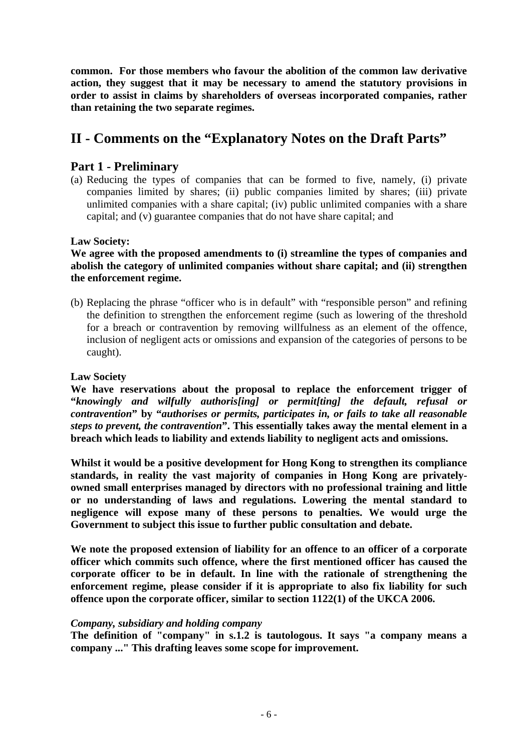**common. For those members who favour the abolition of the common law derivative action, they suggest that it may be necessary to amend the statutory provisions in order to assist in claims by shareholders of overseas incorporated companies, rather than retaining the two separate regimes.** 

# **II - Comments on the "Explanatory Notes on the Draft Parts"**

# **Part 1 - Preliminary**

(a) Reducing the types of companies that can be formed to five, namely, (i) private companies limited by shares; (ii) public companies limited by shares; (iii) private unlimited companies with a share capital; (iv) public unlimited companies with a share capital; and (v) guarantee companies that do not have share capital; and

### **Law Society:**

**We agree with the proposed amendments to (i) streamline the types of companies and abolish the category of unlimited companies without share capital; and (ii) strengthen the enforcement regime.** 

(b) Replacing the phrase "officer who is in default" with "responsible person" and refining the definition to strengthen the enforcement regime (such as lowering of the threshold for a breach or contravention by removing willfulness as an element of the offence, inclusion of negligent acts or omissions and expansion of the categories of persons to be caught).

#### **Law Society**

**We have reservations about the proposal to replace the enforcement trigger of "***knowingly and wilfully authoris[ing] or permit[ting] the default, refusal or contravention***" by "***authorises or permits, participates in, or fails to take all reasonable steps to prevent, the contravention***". This essentially takes away the mental element in a breach which leads to liability and extends liability to negligent acts and omissions.** 

**Whilst it would be a positive development for Hong Kong to strengthen its compliance standards, in reality the vast majority of companies in Hong Kong are privatelyowned small enterprises managed by directors with no professional training and little or no understanding of laws and regulations. Lowering the mental standard to negligence will expose many of these persons to penalties. We would urge the Government to subject this issue to further public consultation and debate.** 

**We note the proposed extension of liability for an offence to an officer of a corporate officer which commits such offence, where the first mentioned officer has caused the corporate officer to be in default. In line with the rationale of strengthening the enforcement regime, please consider if it is appropriate to also fix liability for such offence upon the corporate officer, similar to section 1122(1) of the UKCA 2006.** 

#### *Company, subsidiary and holding company*

**The definition of "company" in s.1.2 is tautologous. It says "a company means a company ..." This drafting leaves some scope for improvement.**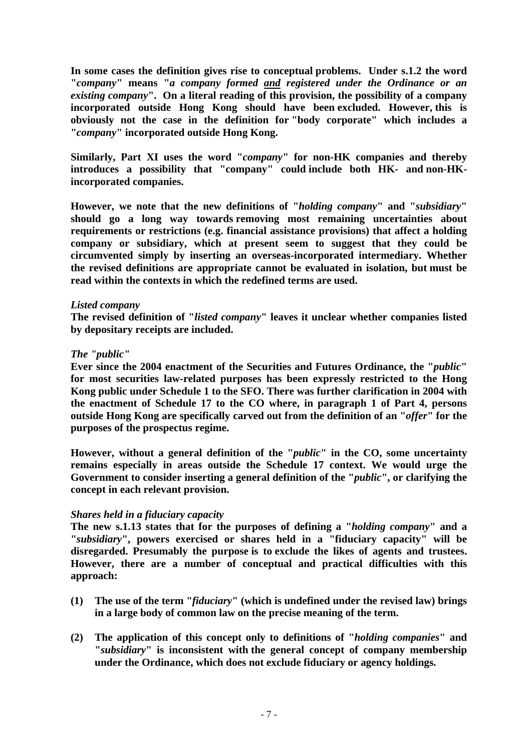**In some cases the definition gives rise to conceptual problems. Under s.1.2 the word "***company***" means "***a company formed and registered under the Ordinance or an existing company***". On a literal reading of this provision, the possibility of a company incorporated outside Hong Kong should have been excluded. However, this is obviously not the case in the definition for "body corporate" which includes a "***company***" incorporated outside Hong Kong.** 

**Similarly, Part XI uses the word "***company***" for non-HK companies and thereby introduces a possibility that "company" could include both HK- and non-HKincorporated companies.** 

**However, we note that the new definitions of "***holding company***" and "***subsidiary***" should go a long way towards removing most remaining uncertainties about requirements or restrictions (e.g. financial assistance provisions) that affect a holding company or subsidiary, which at present seem to suggest that they could be circumvented simply by inserting an overseas-incorporated intermediary. Whether the revised definitions are appropriate cannot be evaluated in isolation, but must be read within the contexts in which the redefined terms are used.** 

#### *Listed company*

**The revised definition of "***listed company***" leaves it unclear whether companies listed by depositary receipts are included.** 

#### *The "public"*

**Ever since the 2004 enactment of the Securities and Futures Ordinance, the "***public***" for most securities law-related purposes has been expressly restricted to the Hong Kong public under Schedule 1 to the SFO. There was further clarification in 2004 with the enactment of Schedule 17 to the CO where, in paragraph 1 of Part 4, persons outside Hong Kong are specifically carved out from the definition of an "***offer***" for the purposes of the prospectus regime.** 

**However, without a general definition of the "***public***" in the CO, some uncertainty remains especially in areas outside the Schedule 17 context. We would urge the Government to consider inserting a general definition of the "***public***", or clarifying the concept in each relevant provision.**

#### *Shares held in a fiduciary capacity*

**The new s.1.13 states that for the purposes of defining a "***holding company***" and a "***subsidiary***", powers exercised or shares held in a "fiduciary capacity" will be disregarded. Presumably the purpose is to exclude the likes of agents and trustees. However, there are a number of conceptual and practical difficulties with this approach:** 

- **(1) The use of the term "***fiduciary***" (which is undefined under the revised law) brings in a large body of common law on the precise meaning of the term.**
- **(2) The application of this concept only to definitions of "***holding companies***" and "***subsidiary***" is inconsistent with the general concept of company membership under the Ordinance, which does not exclude fiduciary or agency holdings.**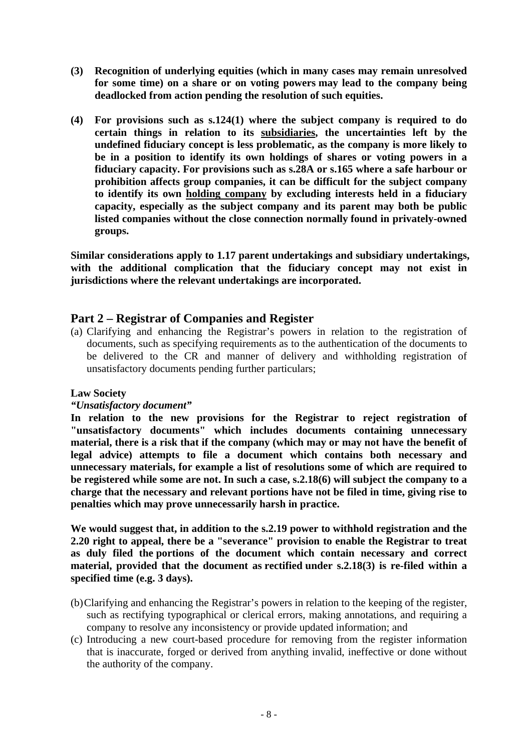- **(3) Recognition of underlying equities (which in many cases may remain unresolved for some time) on a share or on voting powers may lead to the company being deadlocked from action pending the resolution of such equities.**
- **(4) For provisions such as s.124(1) where the subject company is required to do certain things in relation to its subsidiaries, the uncertainties left by the undefined fiduciary concept is less problematic, as the company is more likely to be in a position to identify its own holdings of shares or voting powers in a fiduciary capacity. For provisions such as s.28A or s.165 where a safe harbour or prohibition affects group companies, it can be difficult for the subject company to identify its own holding company by excluding interests held in a fiduciary capacity, especially as the subject company and its parent may both be public listed companies without the close connection normally found in privately-owned groups.**

**Similar considerations apply to 1.17 parent undertakings and subsidiary undertakings, with the additional complication that the fiduciary concept may not exist in jurisdictions where the relevant undertakings are incorporated.** 

### **Part 2 – Registrar of Companies and Register**

(a) Clarifying and enhancing the Registrar's powers in relation to the registration of documents, such as specifying requirements as to the authentication of the documents to be delivered to the CR and manner of delivery and withholding registration of unsatisfactory documents pending further particulars;

#### **Law Society**

#### *"Unsatisfactory document"*

**In relation to the new provisions for the Registrar to reject registration of "unsatisfactory documents" which includes documents containing unnecessary material, there is a risk that if the company (which may or may not have the benefit of legal advice) attempts to file a document which contains both necessary and unnecessary materials, for example a list of resolutions some of which are required to be registered while some are not. In such a case, s.2.18(6) will subject the company to a charge that the necessary and relevant portions have not be filed in time, giving rise to penalties which may prove unnecessarily harsh in practice.** 

**We would suggest that, in addition to the s.2.19 power to withhold registration and the 2.20 right to appeal, there be a "severance" provision to enable the Registrar to treat as duly filed the portions of the document which contain necessary and correct material, provided that the document as rectified under s.2.18(3) is re-filed within a specified time (e.g. 3 days).** 

- (b) Clarifying and enhancing the Registrar's powers in relation to the keeping of the register, such as rectifying typographical or clerical errors, making annotations, and requiring a company to resolve any inconsistency or provide updated information; and
- (c) Introducing a new court-based procedure for removing from the register information that is inaccurate, forged or derived from anything invalid, ineffective or done without the authority of the company.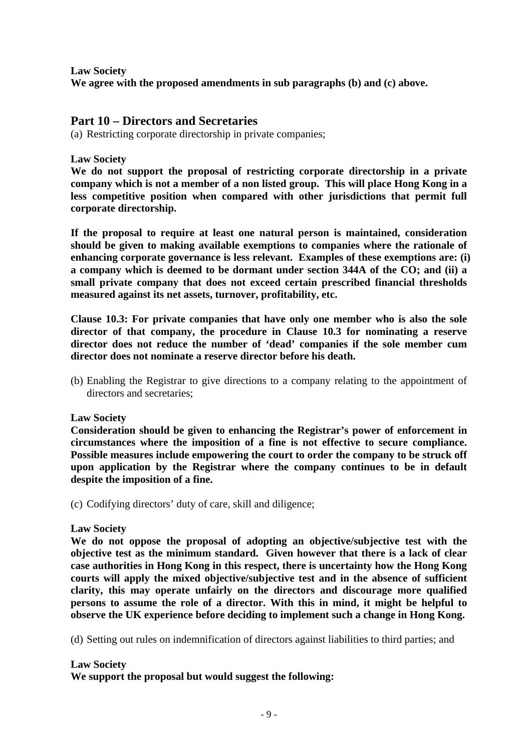**Law Society We agree with the proposed amendments in sub paragraphs (b) and (c) above.** 

# **Part 10 – Directors and Secretaries**

(a) Restricting corporate directorship in private companies;

#### **Law Society**

**We do not support the proposal of restricting corporate directorship in a private company which is not a member of a non listed group. This will place Hong Kong in a less competitive position when compared with other jurisdictions that permit full corporate directorship.**

**If the proposal to require at least one natural person is maintained, consideration should be given to making available exemptions to companies where the rationale of enhancing corporate governance is less relevant. Examples of these exemptions are: (i) a company which is deemed to be dormant under section 344A of the CO; and (ii) a small private company that does not exceed certain prescribed financial thresholds measured against its net assets, turnover, profitability, etc.** 

**Clause 10.3: For private companies that have only one member who is also the sole director of that company, the procedure in Clause 10.3 for nominating a reserve director does not reduce the number of 'dead' companies if the sole member cum director does not nominate a reserve director before his death.** 

(b) Enabling the Registrar to give directions to a company relating to the appointment of directors and secretaries;

### **Law Society**

**Consideration should be given to enhancing the Registrar's power of enforcement in circumstances where the imposition of a fine is not effective to secure compliance. Possible measures include empowering the court to order the company to be struck off upon application by the Registrar where the company continues to be in default despite the imposition of a fine.** 

(c) Codifying directors' duty of care, skill and diligence;

### **Law Society**

**We do not oppose the proposal of adopting an objective/subjective test with the objective test as the minimum standard. Given however that there is a lack of clear case authorities in Hong Kong in this respect, there is uncertainty how the Hong Kong courts will apply the mixed objective/subjective test and in the absence of sufficient clarity, this may operate unfairly on the directors and discourage more qualified persons to assume the role of a director. With this in mind, it might be helpful to observe the UK experience before deciding to implement such a change in Hong Kong.**

(d) Setting out rules on indemnification of directors against liabilities to third parties; and

#### **Law Society**

**We support the proposal but would suggest the following:**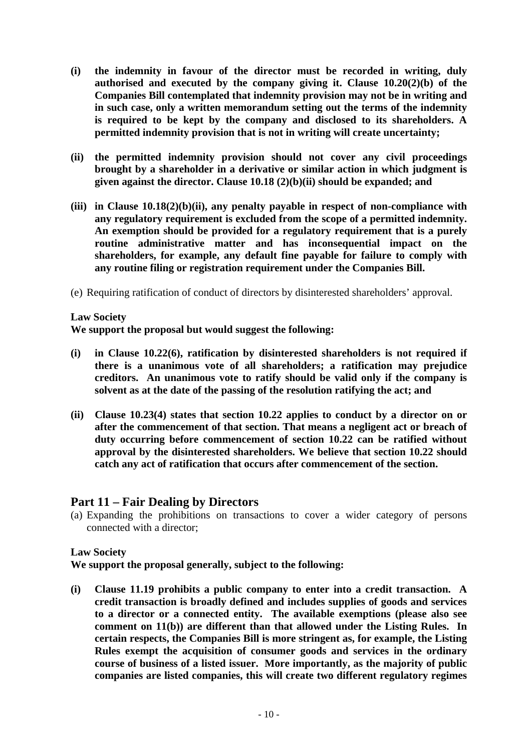- **(i) the indemnity in favour of the director must be recorded in writing, duly authorised and executed by the company giving it. Clause 10.20(2)(b) of the Companies Bill contemplated that indemnity provision may not be in writing and in such case, only a written memorandum setting out the terms of the indemnity is required to be kept by the company and disclosed to its shareholders. A permitted indemnity provision that is not in writing will create uncertainty;**
- **(ii) the permitted indemnity provision should not cover any civil proceedings brought by a shareholder in a derivative or similar action in which judgment is given against the director. Clause 10.18 (2)(b)(ii) should be expanded; and**
- **(iii) in Clause 10.18(2)(b)(ii), any penalty payable in respect of non-compliance with any regulatory requirement is excluded from the scope of a permitted indemnity. An exemption should be provided for a regulatory requirement that is a purely routine administrative matter and has inconsequential impact on the shareholders, for example, any default fine payable for failure to comply with any routine filing or registration requirement under the Companies Bill.**
- (e) Requiring ratification of conduct of directors by disinterested shareholders' approval.

### **Law Society**

**We support the proposal but would suggest the following:** 

- **(i) in Clause 10.22(6), ratification by disinterested shareholders is not required if there is a unanimous vote of all shareholders; a ratification may prejudice creditors. An unanimous vote to ratify should be valid only if the company is solvent as at the date of the passing of the resolution ratifying the act; and**
- **(ii) Clause 10.23(4) states that section 10.22 applies to conduct by a director on or after the commencement of that section. That means a negligent act or breach of duty occurring before commencement of section 10.22 can be ratified without approval by the disinterested shareholders. We believe that section 10.22 should catch any act of ratification that occurs after commencement of the section.**

### **Part 11 – Fair Dealing by Directors**

(a) Expanding the prohibitions on transactions to cover a wider category of persons connected with a director;

### **Law Society**

**We support the proposal generally, subject to the following:** 

**(i) Clause 11.19 prohibits a public company to enter into a credit transaction. A credit transaction is broadly defined and includes supplies of goods and services to a director or a connected entity. The available exemptions (please also see comment on 11(b)) are different than that allowed under the Listing Rules. In certain respects, the Companies Bill is more stringent as, for example, the Listing Rules exempt the acquisition of consumer goods and services in the ordinary course of business of a listed issuer. More importantly, as the majority of public companies are listed companies, this will create two different regulatory regimes**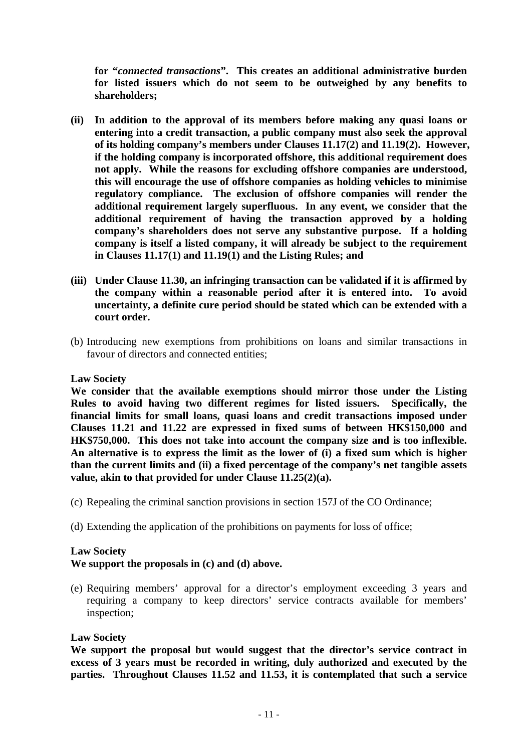**for "***connected transactions***". This creates an additional administrative burden for listed issuers which do not seem to be outweighed by any benefits to shareholders;** 

- **(ii) In addition to the approval of its members before making any quasi loans or entering into a credit transaction, a public company must also seek the approval of its holding company's members under Clauses 11.17(2) and 11.19(2). However, if the holding company is incorporated offshore, this additional requirement does not apply. While the reasons for excluding offshore companies are understood, this will encourage the use of offshore companies as holding vehicles to minimise regulatory compliance. The exclusion of offshore companies will render the additional requirement largely superfluous. In any event, we consider that the additional requirement of having the transaction approved by a holding company's shareholders does not serve any substantive purpose. If a holding company is itself a listed company, it will already be subject to the requirement in Clauses 11.17(1) and 11.19(1) and the Listing Rules; and**
- **(iii) Under Clause 11.30, an infringing transaction can be validated if it is affirmed by the company within a reasonable period after it is entered into. To avoid uncertainty, a definite cure period should be stated which can be extended with a court order.**
- (b) Introducing new exemptions from prohibitions on loans and similar transactions in favour of directors and connected entities;

#### **Law Society**

**We consider that the available exemptions should mirror those under the Listing Rules to avoid having two different regimes for listed issuers. Specifically, the financial limits for small loans, quasi loans and credit transactions imposed under Clauses 11.21 and 11.22 are expressed in fixed sums of between HK\$150,000 and HK\$750,000. This does not take into account the company size and is too inflexible. An alternative is to express the limit as the lower of (i) a fixed sum which is higher than the current limits and (ii) a fixed percentage of the company's net tangible assets value, akin to that provided for under Clause 11.25(2)(a).** 

- (c) Repealing the criminal sanction provisions in section 157J of the CO Ordinance;
- (d) Extending the application of the prohibitions on payments for loss of office;

### **Law Society**

### **We support the proposals in (c) and (d) above.**

(e) Requiring members' approval for a director's employment exceeding 3 years and requiring a company to keep directors' service contracts available for members' inspection;

#### **Law Society**

**We support the proposal but would suggest that the director's service contract in excess of 3 years must be recorded in writing, duly authorized and executed by the parties. Throughout Clauses 11.52 and 11.53, it is contemplated that such a service**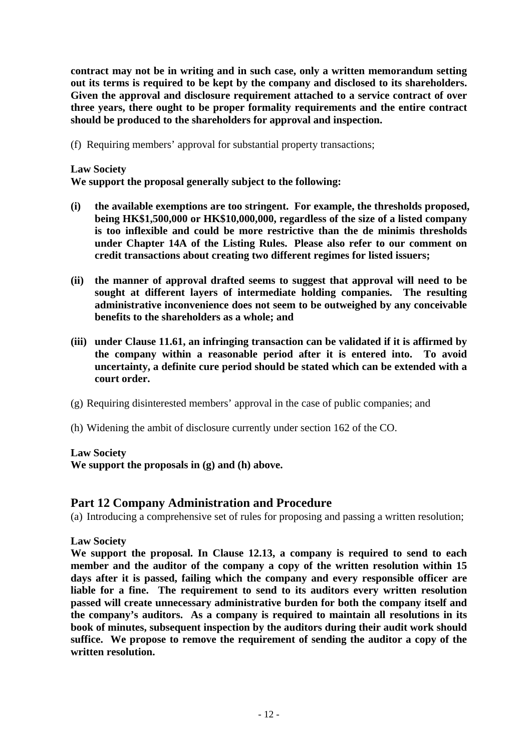**contract may not be in writing and in such case, only a written memorandum setting out its terms is required to be kept by the company and disclosed to its shareholders. Given the approval and disclosure requirement attached to a service contract of over three years, there ought to be proper formality requirements and the entire contract should be produced to the shareholders for approval and inspection.** 

(f) Requiring members' approval for substantial property transactions;

### **Law Society**

**We support the proposal generally subject to the following:** 

- **(i) the available exemptions are too stringent. For example, the thresholds proposed, being HK\$1,500,000 or HK\$10,000,000, regardless of the size of a listed company is too inflexible and could be more restrictive than the de minimis thresholds under Chapter 14A of the Listing Rules. Please also refer to our comment on credit transactions about creating two different regimes for listed issuers;**
- **(ii) the manner of approval drafted seems to suggest that approval will need to be sought at different layers of intermediate holding companies. The resulting administrative inconvenience does not seem to be outweighed by any conceivable benefits to the shareholders as a whole; and**
- **(iii) under Clause 11.61, an infringing transaction can be validated if it is affirmed by the company within a reasonable period after it is entered into. To avoid uncertainty, a definite cure period should be stated which can be extended with a court order.**
- (g) Requiring disinterested members' approval in the case of public companies; and
- (h) Widening the ambit of disclosure currently under section 162 of the CO.

#### **Law Society**

**We support the proposals in (g) and (h) above.** 

### **Part 12 Company Administration and Procedure**

(a) Introducing a comprehensive set of rules for proposing and passing a written resolution;

#### **Law Society**

**We support the proposal. In Clause 12.13, a company is required to send to each member and the auditor of the company a copy of the written resolution within 15 days after it is passed, failing which the company and every responsible officer are liable for a fine. The requirement to send to its auditors every written resolution passed will create unnecessary administrative burden for both the company itself and the company's auditors. As a company is required to maintain all resolutions in its book of minutes, subsequent inspection by the auditors during their audit work should suffice. We propose to remove the requirement of sending the auditor a copy of the written resolution.**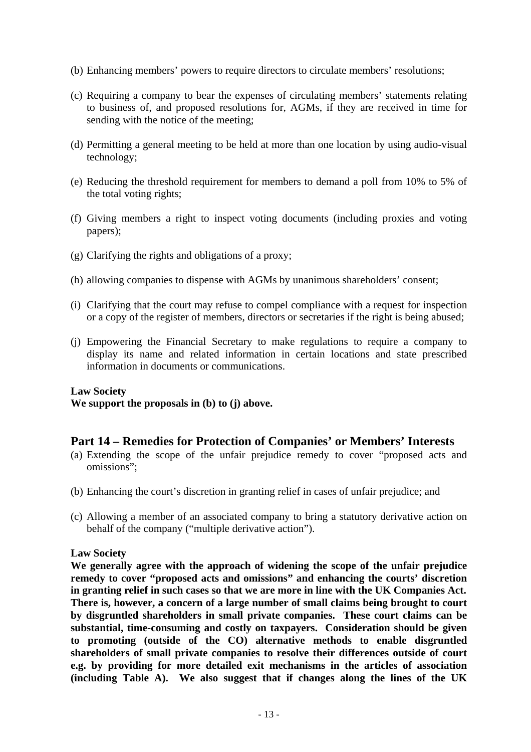- (b) Enhancing members' powers to require directors to circulate members' resolutions;
- (c) Requiring a company to bear the expenses of circulating members' statements relating to business of, and proposed resolutions for, AGMs, if they are received in time for sending with the notice of the meeting;
- (d) Permitting a general meeting to be held at more than one location by using audio-visual technology;
- (e) Reducing the threshold requirement for members to demand a poll from 10% to 5% of the total voting rights;
- (f) Giving members a right to inspect voting documents (including proxies and voting papers);
- (g) Clarifying the rights and obligations of a proxy;
- (h) allowing companies to dispense with AGMs by unanimous shareholders' consent;
- (i) Clarifying that the court may refuse to compel compliance with a request for inspection or a copy of the register of members, directors or secretaries if the right is being abused;
- (j) Empowering the Financial Secretary to make regulations to require a company to display its name and related information in certain locations and state prescribed information in documents or communications.

### **Law Society**

**We support the proposals in (b) to (j) above.** 

### **Part 14 – Remedies for Protection of Companies' or Members' Interests**

- (a) Extending the scope of the unfair prejudice remedy to cover "proposed acts and omissions";
- (b) Enhancing the court's discretion in granting relief in cases of unfair prejudice; and
- (c) Allowing a member of an associated company to bring a statutory derivative action on behalf of the company ("multiple derivative action").

#### **Law Society**

**We generally agree with the approach of widening the scope of the unfair prejudice remedy to cover "proposed acts and omissions" and enhancing the courts' discretion in granting relief in such cases so that we are more in line with the UK Companies Act. There is, however, a concern of a large number of small claims being brought to court by disgruntled shareholders in small private companies. These court claims can be substantial, time-consuming and costly on taxpayers. Consideration should be given to promoting (outside of the CO) alternative methods to enable disgruntled shareholders of small private companies to resolve their differences outside of court e.g. by providing for more detailed exit mechanisms in the articles of association (including Table A). We also suggest that if changes along the lines of the UK**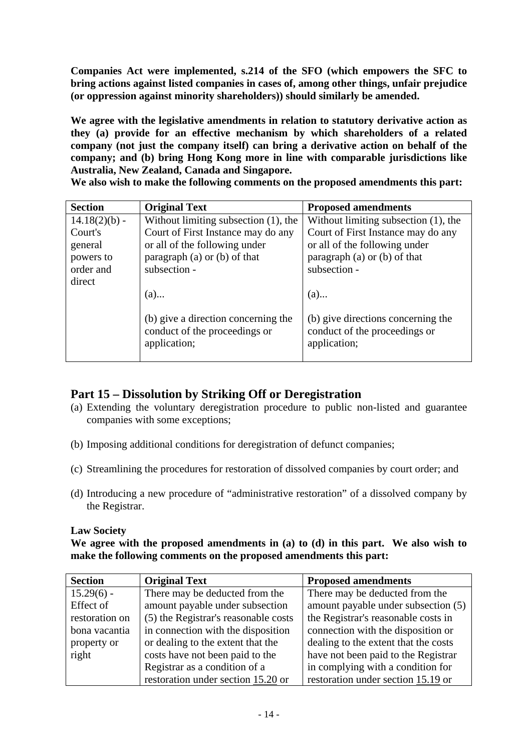**Companies Act were implemented, s.214 of the SFO (which empowers the SFC to bring actions against listed companies in cases of, among other things, unfair prejudice (or oppression against minority shareholders)) should similarly be amended.** 

**We agree with the legislative amendments in relation to statutory derivative action as they (a) provide for an effective mechanism by which shareholders of a related company (not just the company itself) can bring a derivative action on behalf of the company; and (b) bring Hong Kong more in line with comparable jurisdictions like Australia, New Zealand, Canada and Singapore.** 

**We also wish to make the following comments on the proposed amendments this part:** 

| <b>Section</b>  | <b>Original Text</b>                                                                 | <b>Proposed amendments</b>                                                          |
|-----------------|--------------------------------------------------------------------------------------|-------------------------------------------------------------------------------------|
| $14.18(2)(b)$ - | Without limiting subsection $(1)$ , the                                              | Without limiting subsection $(1)$ , the                                             |
| Court's         | Court of First Instance may do any                                                   | Court of First Instance may do any                                                  |
| general         | or all of the following under                                                        | or all of the following under                                                       |
| powers to       | paragraph $(a)$ or $(b)$ of that                                                     | paragraph $(a)$ or $(b)$ of that                                                    |
| order and       | subsection -                                                                         | subsection -                                                                        |
| direct          |                                                                                      |                                                                                     |
|                 | $(a)$                                                                                | $(a)$                                                                               |
|                 |                                                                                      |                                                                                     |
|                 | (b) give a direction concerning the<br>conduct of the proceedings or<br>application; | (b) give directions concerning the<br>conduct of the proceedings or<br>application; |
|                 |                                                                                      |                                                                                     |

# **Part 15 – Dissolution by Striking Off or Deregistration**

- (a) Extending the voluntary deregistration procedure to public non-listed and guarantee companies with some exceptions;
- (b) Imposing additional conditions for deregistration of defunct companies;
- (c) Streamlining the procedures for restoration of dissolved companies by court order; and
- (d) Introducing a new procedure of "administrative restoration" of a dissolved company by the Registrar.

#### **Law Society**

**We agree with the proposed amendments in (a) to (d) in this part. We also wish to make the following comments on the proposed amendments this part:** 

| <b>Section</b> | <b>Original Text</b>                 | <b>Proposed amendments</b>           |
|----------------|--------------------------------------|--------------------------------------|
| $15.29(6) -$   | There may be deducted from the       | There may be deducted from the       |
| Effect of      | amount payable under subsection      | amount payable under subsection (5)  |
| restoration on | (5) the Registrar's reasonable costs | the Registrar's reasonable costs in  |
| bona vacantia  | in connection with the disposition   | connection with the disposition or   |
| property or    | or dealing to the extent that the    | dealing to the extent that the costs |
| right          | costs have not been paid to the      | have not been paid to the Registrar  |
|                | Registrar as a condition of a        | in complying with a condition for    |
|                | restoration under section 15.20 or   | restoration under section 15.19 or   |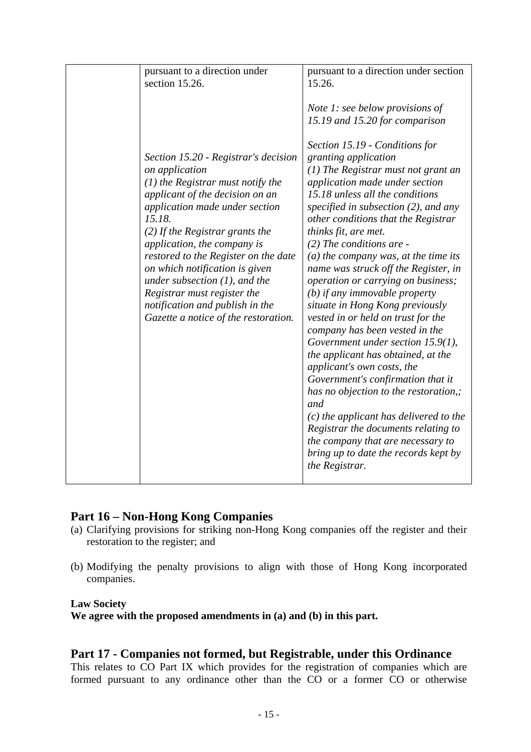| pursuant to a direction under<br>section 15.26.                                                                                                                                                                                                                                                                                                                                                                                                                          | pursuant to a direction under section<br>15.26.                                                                                                                                                                                                                                                                                                                                                                                                                                                                                                                                                                                                                                                                                                                                                                                                                                                                                                                                                                                                 |
|--------------------------------------------------------------------------------------------------------------------------------------------------------------------------------------------------------------------------------------------------------------------------------------------------------------------------------------------------------------------------------------------------------------------------------------------------------------------------|-------------------------------------------------------------------------------------------------------------------------------------------------------------------------------------------------------------------------------------------------------------------------------------------------------------------------------------------------------------------------------------------------------------------------------------------------------------------------------------------------------------------------------------------------------------------------------------------------------------------------------------------------------------------------------------------------------------------------------------------------------------------------------------------------------------------------------------------------------------------------------------------------------------------------------------------------------------------------------------------------------------------------------------------------|
| Section 15.20 - Registrar's decision<br>on application<br>$(1)$ the Registrar must notify the<br>applicant of the decision on an<br>application made under section<br>15.18.<br>$(2)$ If the Registrar grants the<br>application, the company is<br>restored to the Register on the date<br>on which notification is given<br>under subsection $(1)$ , and the<br>Registrar must register the<br>notification and publish in the<br>Gazette a notice of the restoration. | Note 1: see below provisions of<br>15.19 and 15.20 for comparison<br>Section 15.19 - Conditions for<br>granting application<br>$(1)$ The Registrar must not grant an<br>application made under section<br>15.18 unless all the conditions<br>specified in subsection $(2)$ , and any<br>other conditions that the Registrar<br><i>thinks fit, are met.</i><br>$(2)$ The conditions are -<br>$(a)$ the company was, at the time its<br>name was struck off the Register, in<br>operation or carrying on business;<br>(b) if any immovable property<br>situate in Hong Kong previously<br>vested in or held on trust for the<br>company has been vested in the<br>Government under section $15.9(1)$ ,<br>the applicant has obtained, at the<br>applicant's own costs, the<br>Government's confirmation that it<br>has no objection to the restoration,;<br>and<br>$(c)$ the applicant has delivered to the<br>Registrar the documents relating to<br>the company that are necessary to<br>bring up to date the records kept by<br>the Registrar. |
|                                                                                                                                                                                                                                                                                                                                                                                                                                                                          |                                                                                                                                                                                                                                                                                                                                                                                                                                                                                                                                                                                                                                                                                                                                                                                                                                                                                                                                                                                                                                                 |

# **Part 16 – Non-Hong Kong Companies**

- (a) Clarifying provisions for striking non-Hong Kong companies off the register and their restoration to the register; and
- (b) Modifying the penalty provisions to align with those of Hong Kong incorporated companies.

### **Law Society**

**We agree with the proposed amendments in (a) and (b) in this part.** 

# **Part 17 - Companies not formed, but Registrable, under this Ordinance**

This relates to CO Part IX which provides for the registration of companies which are formed pursuant to any ordinance other than the CO or a former CO or otherwise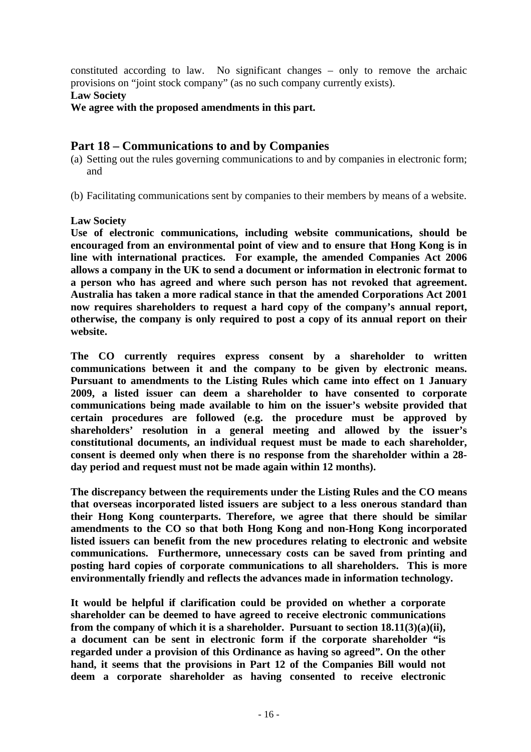constituted according to law. No significant changes – only to remove the archaic provisions on "joint stock company" (as no such company currently exists).

### **Law Society**

**We agree with the proposed amendments in this part.** 

# **Part 18 – Communications to and by Companies**

- (a) Setting out the rules governing communications to and by companies in electronic form; and
- (b) Facilitating communications sent by companies to their members by means of a website.

### **Law Society**

**Use of electronic communications, including website communications, should be encouraged from an environmental point of view and to ensure that Hong Kong is in line with international practices. For example, the amended Companies Act 2006 allows a company in the UK to send a document or information in electronic format to a person who has agreed and where such person has not revoked that agreement. Australia has taken a more radical stance in that the amended Corporations Act 2001 now requires shareholders to request a hard copy of the company's annual report, otherwise, the company is only required to post a copy of its annual report on their website.** 

**The CO currently requires express consent by a shareholder to written communications between it and the company to be given by electronic means. Pursuant to amendments to the Listing Rules which came into effect on 1 January 2009, a listed issuer can deem a shareholder to have consented to corporate communications being made available to him on the issuer's website provided that certain procedures are followed (e.g. the procedure must be approved by shareholders' resolution in a general meeting and allowed by the issuer's constitutional documents, an individual request must be made to each shareholder, consent is deemed only when there is no response from the shareholder within a 28 day period and request must not be made again within 12 months).** 

**The discrepancy between the requirements under the Listing Rules and the CO means that overseas incorporated listed issuers are subject to a less onerous standard than their Hong Kong counterparts. Therefore, we agree that there should be similar amendments to the CO so that both Hong Kong and non-Hong Kong incorporated listed issuers can benefit from the new procedures relating to electronic and website communications. Furthermore, unnecessary costs can be saved from printing and posting hard copies of corporate communications to all shareholders. This is more environmentally friendly and reflects the advances made in information technology.** 

**It would be helpful if clarification could be provided on whether a corporate shareholder can be deemed to have agreed to receive electronic communications from the company of which it is a shareholder. Pursuant to section 18.11(3)(a)(ii), a document can be sent in electronic form if the corporate shareholder "is regarded under a provision of this Ordinance as having so agreed". On the other hand, it seems that the provisions in Part 12 of the Companies Bill would not deem a corporate shareholder as having consented to receive electronic**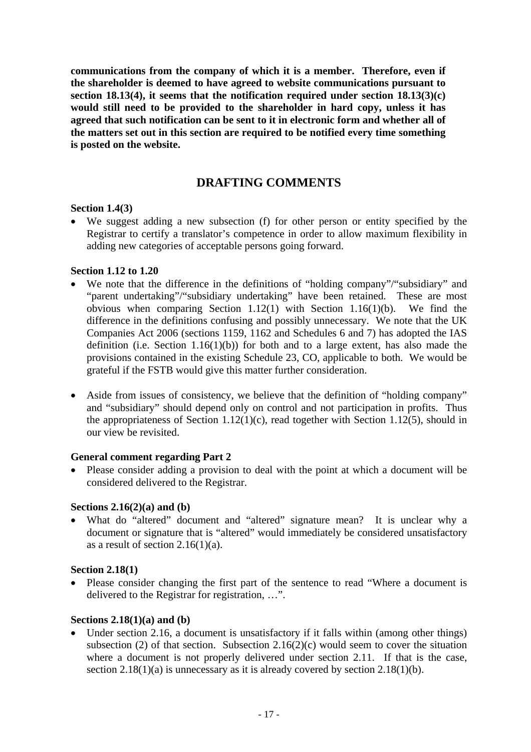**communications from the company of which it is a member. Therefore, even if the shareholder is deemed to have agreed to website communications pursuant to section 18.13(4), it seems that the notification required under section 18.13(3)(c) would still need to be provided to the shareholder in hard copy, unless it has agreed that such notification can be sent to it in electronic form and whether all of the matters set out in this section are required to be notified every time something is posted on the website.** 

# **DRAFTING COMMENTS**

### **Section 1.4(3)**

• We suggest adding a new subsection (f) for other person or entity specified by the Registrar to certify a translator's competence in order to allow maximum flexibility in adding new categories of acceptable persons going forward.

### **Section 1.12 to 1.20**

- We note that the difference in the definitions of "holding company"/"subsidiary" and "parent undertaking"/"subsidiary undertaking" have been retained. These are most obvious when comparing Section 1.12(1) with Section 1.16(1)(b). We find the difference in the definitions confusing and possibly unnecessary. We note that the UK Companies Act 2006 (sections 1159, 1162 and Schedules 6 and 7) has adopted the IAS definition (i.e. Section  $1.16(1)(b)$ ) for both and to a large extent, has also made the provisions contained in the existing Schedule 23, CO, applicable to both. We would be grateful if the FSTB would give this matter further consideration.
- Aside from issues of consistency, we believe that the definition of "holding company" and "subsidiary" should depend only on control and not participation in profits. Thus the appropriateness of Section  $1.12(1)(c)$ , read together with Section 1.12(5), should in our view be revisited.

### **General comment regarding Part 2**

• Please consider adding a provision to deal with the point at which a document will be considered delivered to the Registrar.

#### **Sections 2.16(2)(a) and (b)**

• What do "altered" document and "altered" signature mean? It is unclear why a document or signature that is "altered" would immediately be considered unsatisfactory as a result of section  $2.16(1)(a)$ .

### **Section 2.18(1)**

• Please consider changing the first part of the sentence to read "Where a document is delivered to the Registrar for registration, …".

### **Sections 2.18(1)(a) and (b)**

• Under section 2.16, a document is unsatisfactory if it falls within (among other things) subsection (2) of that section. Subsection  $2.16(2)(c)$  would seem to cover the situation where a document is not properly delivered under section 2.11. If that is the case, section  $2.18(1)(a)$  is unnecessary as it is already covered by section  $2.18(1)(b)$ .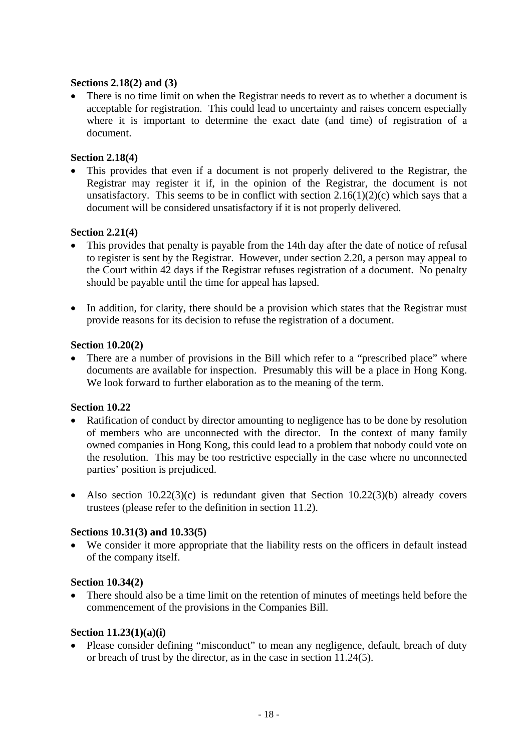### **Sections 2.18(2) and (3)**

• There is no time limit on when the Registrar needs to revert as to whether a document is acceptable for registration. This could lead to uncertainty and raises concern especially where it is important to determine the exact date (and time) of registration of a document.

### **Section 2.18(4)**

• This provides that even if a document is not properly delivered to the Registrar, the Registrar may register it if, in the opinion of the Registrar, the document is not unsatisfactory. This seems to be in conflict with section  $2.16(1)(2)(c)$  which says that a document will be considered unsatisfactory if it is not properly delivered.

### **Section 2.21(4)**

- This provides that penalty is payable from the 14th day after the date of notice of refusal to register is sent by the Registrar. However, under section 2.20, a person may appeal to the Court within 42 days if the Registrar refuses registration of a document. No penalty should be payable until the time for appeal has lapsed.
- In addition, for clarity, there should be a provision which states that the Registrar must provide reasons for its decision to refuse the registration of a document.

#### **Section 10.20(2)**

• There are a number of provisions in the Bill which refer to a "prescribed place" where documents are available for inspection. Presumably this will be a place in Hong Kong. We look forward to further elaboration as to the meaning of the term.

#### **Section 10.22**

- Ratification of conduct by director amounting to negligence has to be done by resolution of members who are unconnected with the director. In the context of many family owned companies in Hong Kong, this could lead to a problem that nobody could vote on the resolution. This may be too restrictive especially in the case where no unconnected parties' position is prejudiced.
- Also section  $10.22(3)(c)$  is redundant given that Section  $10.22(3)(b)$  already covers trustees (please refer to the definition in section 11.2).

### **Sections 10.31(3) and 10.33(5)**

• We consider it more appropriate that the liability rests on the officers in default instead of the company itself.

#### **Section 10.34(2)**

• There should also be a time limit on the retention of minutes of meetings held before the commencement of the provisions in the Companies Bill.

#### **Section 11.23(1)(a)(i)**

• Please consider defining "misconduct" to mean any negligence, default, breach of duty or breach of trust by the director, as in the case in section 11.24(5).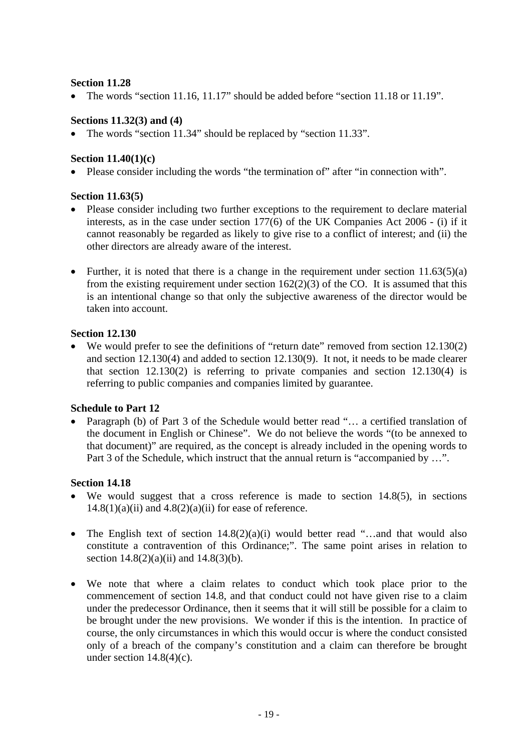### **Section 11.28**

• The words "section 11.16, 11.17" should be added before "section 11.18 or 11.19".

### **Sections 11.32(3) and (4)**

• The words "section 11.34" should be replaced by "section 11.33".

#### **Section 11.40(1)(c)**

• Please consider including the words "the termination of" after "in connection with".

### **Section 11.63(5)**

- Please consider including two further exceptions to the requirement to declare material interests, as in the case under section 177(6) of the UK Companies Act 2006 - (i) if it cannot reasonably be regarded as likely to give rise to a conflict of interest; and (ii) the other directors are already aware of the interest.
- Further, it is noted that there is a change in the requirement under section  $11.63(5)(a)$ from the existing requirement under section  $162(2)(3)$  of the CO. It is assumed that this is an intentional change so that only the subjective awareness of the director would be taken into account.

#### **Section 12.130**

• We would prefer to see the definitions of "return date" removed from section 12.130(2) and section 12.130(4) and added to section 12.130(9). It not, it needs to be made clearer that section 12.130(2) is referring to private companies and section 12.130(4) is referring to public companies and companies limited by guarantee.

### **Schedule to Part 12**

Paragraph (b) of Part 3 of the Schedule would better read "... a certified translation of the document in English or Chinese". We do not believe the words "(to be annexed to that document)" are required, as the concept is already included in the opening words to Part 3 of the Schedule, which instruct that the annual return is "accompanied by ...".

#### **Section 14.18**

- We would suggest that a cross reference is made to section 14.8(5), in sections  $14.8(1)(a)(ii)$  and  $4.8(2)(a)(ii)$  for ease of reference.
- The English text of section  $14.8(2)(a)(i)$  would better read "...and that would also constitute a contravention of this Ordinance;". The same point arises in relation to section  $14.8(2)(a)(ii)$  and  $14.8(3)(b)$ .
- We note that where a claim relates to conduct which took place prior to the commencement of section 14.8, and that conduct could not have given rise to a claim under the predecessor Ordinance, then it seems that it will still be possible for a claim to be brought under the new provisions. We wonder if this is the intention. In practice of course, the only circumstances in which this would occur is where the conduct consisted only of a breach of the company's constitution and a claim can therefore be brought under section  $14.8(4)(c)$ .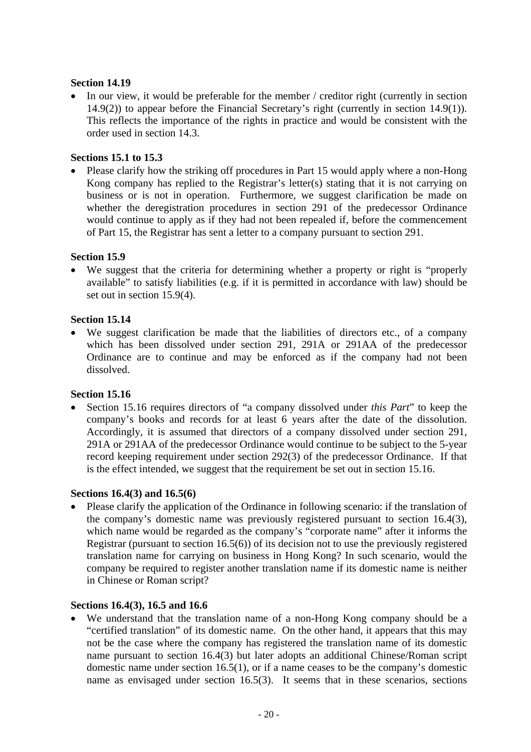### **Section 14.19**

• In our view, it would be preferable for the member / creditor right (currently in section 14.9(2)) to appear before the Financial Secretary's right (currently in section 14.9(1)). This reflects the importance of the rights in practice and would be consistent with the order used in section 14.3.

### **Sections 15.1 to 15.3**

• Please clarify how the striking off procedures in Part 15 would apply where a non-Hong Kong company has replied to the Registrar's letter(s) stating that it is not carrying on business or is not in operation. Furthermore, we suggest clarification be made on whether the deregistration procedures in section 291 of the predecessor Ordinance would continue to apply as if they had not been repealed if, before the commencement of Part 15, the Registrar has sent a letter to a company pursuant to section 291.

### **Section 15.9**

• We suggest that the criteria for determining whether a property or right is "properly" available" to satisfy liabilities (e.g. if it is permitted in accordance with law) should be set out in section 15.9(4).

### **Section 15.14**

We suggest clarification be made that the liabilities of directors etc., of a company which has been dissolved under section 291, 291A or 291AA of the predecessor Ordinance are to continue and may be enforced as if the company had not been dissolved.

### **Section 15.16**

• Section 15.16 requires directors of "a company dissolved under *this Part*" to keep the company's books and records for at least 6 years after the date of the dissolution. Accordingly, it is assumed that directors of a company dissolved under section 291, 291A or 291AA of the predecessor Ordinance would continue to be subject to the 5-year record keeping requirement under section 292(3) of the predecessor Ordinance. If that is the effect intended, we suggest that the requirement be set out in section 15.16.

# **Sections 16.4(3) and 16.5(6)**

• Please clarify the application of the Ordinance in following scenario: if the translation of the company's domestic name was previously registered pursuant to section 16.4(3), which name would be regarded as the company's "corporate name" after it informs the Registrar (pursuant to section 16.5(6)) of its decision not to use the previously registered translation name for carrying on business in Hong Kong? In such scenario, would the company be required to register another translation name if its domestic name is neither in Chinese or Roman script?

### **Sections 16.4(3), 16.5 and 16.6**

• We understand that the translation name of a non-Hong Kong company should be a "certified translation" of its domestic name. On the other hand, it appears that this may not be the case where the company has registered the translation name of its domestic name pursuant to section 16.4(3) but later adopts an additional Chinese/Roman script domestic name under section 16.5(1), or if a name ceases to be the company's domestic name as envisaged under section 16.5(3). It seems that in these scenarios, sections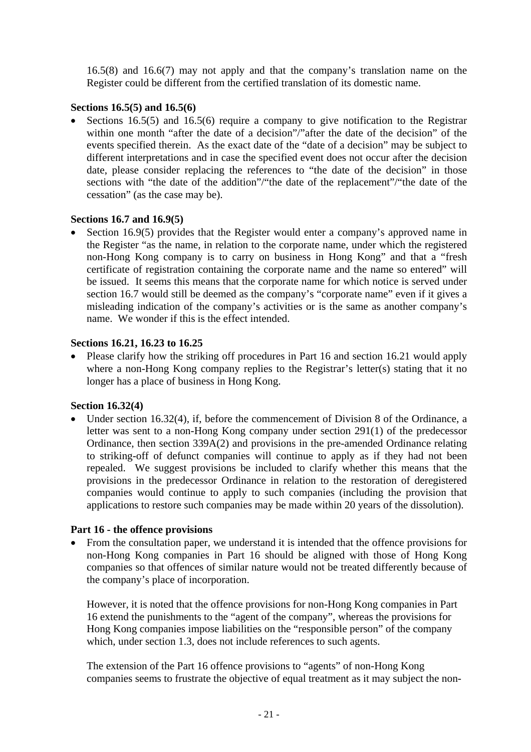16.5(8) and 16.6(7) may not apply and that the company's translation name on the Register could be different from the certified translation of its domestic name.

### **Sections 16.5(5) and 16.5(6)**

Sections  $16.5(5)$  and  $16.5(6)$  require a company to give notification to the Registrar within one month "after the date of a decision"/"after the date of the decision" of the events specified therein. As the exact date of the "date of a decision" may be subject to different interpretations and in case the specified event does not occur after the decision date, please consider replacing the references to "the date of the decision" in those sections with "the date of the addition"/"the date of the replacement"/"the date of the cessation" (as the case may be).

#### **Sections 16.7 and 16.9(5)**

• Section 16.9(5) provides that the Register would enter a company's approved name in the Register "as the name, in relation to the corporate name, under which the registered non-Hong Kong company is to carry on business in Hong Kong" and that a "fresh certificate of registration containing the corporate name and the name so entered" will be issued. It seems this means that the corporate name for which notice is served under section 16.7 would still be deemed as the company's "corporate name" even if it gives a misleading indication of the company's activities or is the same as another company's name. We wonder if this is the effect intended.

### **Sections 16.21, 16.23 to 16.25**

• Please clarify how the striking off procedures in Part 16 and section 16.21 would apply where a non-Hong Kong company replies to the Registrar's letter(s) stating that it no longer has a place of business in Hong Kong.

### **Section 16.32(4)**

• Under section 16.32(4), if, before the commencement of Division 8 of the Ordinance, a letter was sent to a non-Hong Kong company under section 291(1) of the predecessor Ordinance, then section 339A(2) and provisions in the pre-amended Ordinance relating to striking-off of defunct companies will continue to apply as if they had not been repealed. We suggest provisions be included to clarify whether this means that the provisions in the predecessor Ordinance in relation to the restoration of deregistered companies would continue to apply to such companies (including the provision that applications to restore such companies may be made within 20 years of the dissolution).

### **Part 16 - the offence provisions**

• From the consultation paper, we understand it is intended that the offence provisions for non-Hong Kong companies in Part 16 should be aligned with those of Hong Kong companies so that offences of similar nature would not be treated differently because of the company's place of incorporation.

However, it is noted that the offence provisions for non-Hong Kong companies in Part 16 extend the punishments to the "agent of the company", whereas the provisions for Hong Kong companies impose liabilities on the "responsible person" of the company which, under section 1.3, does not include references to such agents.

The extension of the Part 16 offence provisions to "agents" of non-Hong Kong companies seems to frustrate the objective of equal treatment as it may subject the non